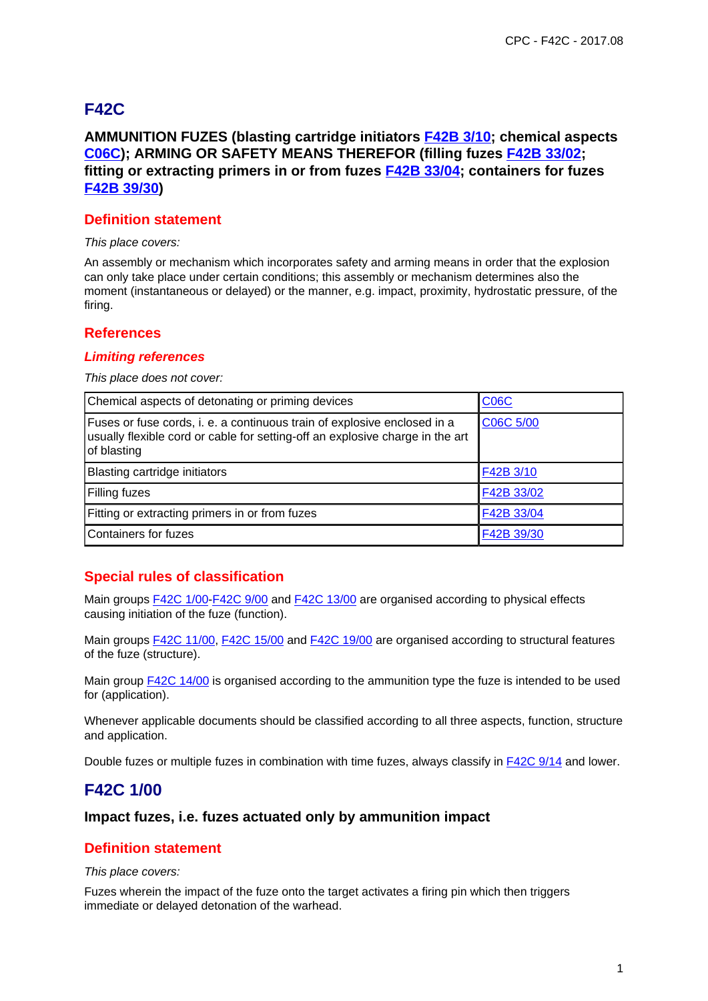# **F42C**

## **AMMUNITION FUZES (blasting cartridge initiators F42B 3/10; chemical aspects C06C); ARMING OR SAFETY MEANS THEREFOR (filling fuzes F42B 33/02; fitting or extracting primers in or from fuzes F42B 33/04; containers for fuzes F42B 39/30)**

## **Definition statement**

This place covers:

An assembly or mechanism which incorporates safety and arming means in order that the explosion can only take place under certain conditions; this assembly or mechanism determines also the moment (instantaneous or delayed) or the manner, e.g. impact, proximity, hydrostatic pressure, of the firing.

## **References**

#### **Limiting references**

This place does not cover:

| Chemical aspects of detonating or priming devices                                                                                                                        | <b>C06C</b> |
|--------------------------------------------------------------------------------------------------------------------------------------------------------------------------|-------------|
| Fuses or fuse cords, i. e. a continuous train of explosive enclosed in a<br>usually flexible cord or cable for setting-off an explosive charge in the art<br>of blasting | C06C 5/00   |
| Blasting cartridge initiators                                                                                                                                            | F42B 3/10   |
| Filling fuzes                                                                                                                                                            | F42B 33/02  |
| Fitting or extracting primers in or from fuzes                                                                                                                           | F42B 33/04  |
| Containers for fuzes                                                                                                                                                     | F42B 39/30  |

## **Special rules of classification**

Main groups F42C 1/00-F42C 9/00 and F42C 13/00 are organised according to physical effects causing initiation of the fuze (function).

Main groups F42C 11/00, F42C 15/00 and F42C 19/00 are organised according to structural features of the fuze (structure).

Main group F42C 14/00 is organised according to the ammunition type the fuze is intended to be used for (application).

Whenever applicable documents should be classified according to all three aspects, function, structure and application.

Double fuzes or multiple fuzes in combination with time fuzes, always classify in F42C 9/14 and lower.

## **F42C 1/00**

## **Impact fuzes, i.e. fuzes actuated only by ammunition impact**

## **Definition statement**

This place covers:

Fuzes wherein the impact of the fuze onto the target activates a firing pin which then triggers immediate or delayed detonation of the warhead.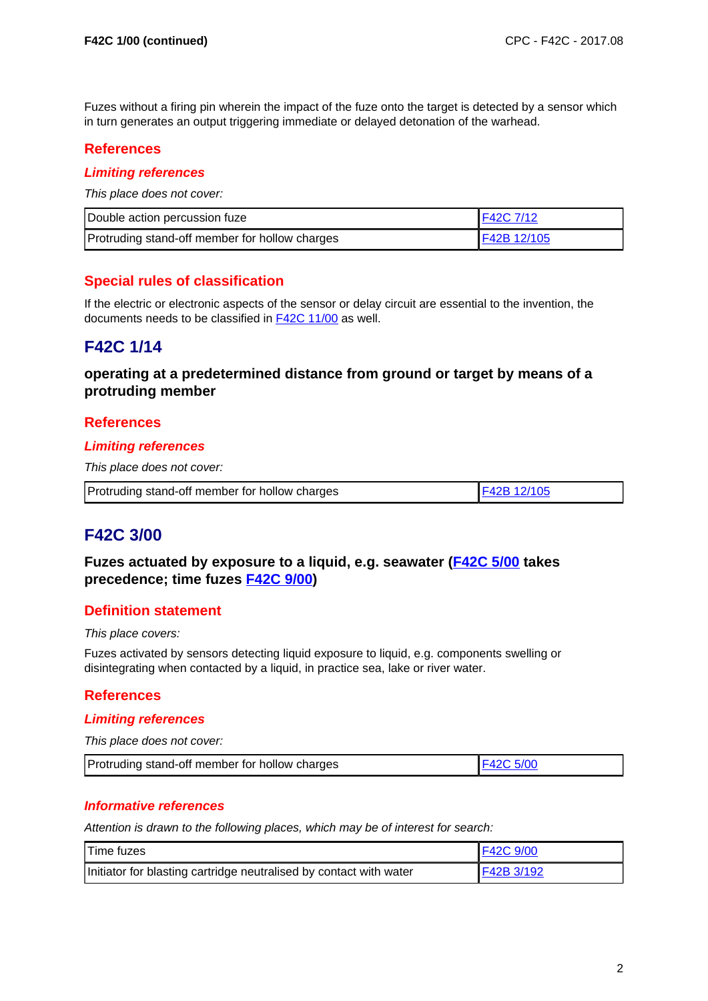Fuzes without a firing pin wherein the impact of the fuze onto the target is detected by a sensor which in turn generates an output triggering immediate or delayed detonation of the warhead.

## **References**

## **Limiting references**

This place does not cover:

| Double action percussion fuze                  | F42C 7/12    |
|------------------------------------------------|--------------|
| Protruding stand-off member for hollow charges | IF42B 12/105 |

## **Special rules of classification**

If the electric or electronic aspects of the sensor or delay circuit are essential to the invention, the documents needs to be classified in F42C 11/00 as well.

## **F42C 1/14**

## **operating at a predetermined distance from ground or target by means of a protruding member**

## **References**

#### **Limiting references**

This place does not cover:

| Protruding stand-off member for hollow charges | F42B 12/105 |
|------------------------------------------------|-------------|
|------------------------------------------------|-------------|

## **F42C 3/00**

**Fuzes actuated by exposure to a liquid, e.g. seawater (F42C 5/00 takes precedence; time fuzes F42C 9/00)**

## **Definition statement**

This place covers:

Fuzes activated by sensors detecting liquid exposure to liquid, e.g. components swelling or disintegrating when contacted by a liquid, in practice sea, lake or river water.

## **References**

#### **Limiting references**

This place does not cover:

| Protruding stand-off member for hollow charges | F42C 5/00 |
|------------------------------------------------|-----------|
|------------------------------------------------|-----------|

## **Informative references**

Attention is drawn to the following places, which may be of interest for search:

| Time fuzes                                                         | <b>IF42C 9/00</b> |
|--------------------------------------------------------------------|-------------------|
| Initiator for blasting cartridge neutralised by contact with water | F42B 3/192        |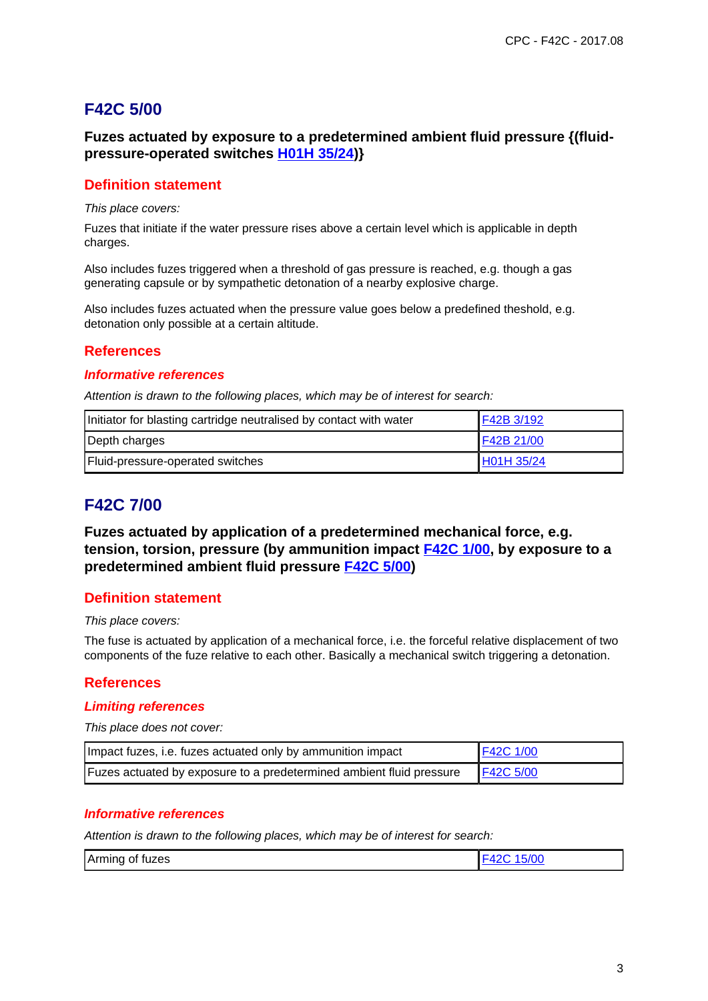# **F42C 5/00**

## **Fuzes actuated by exposure to a predetermined ambient fluid pressure {(fluidpressure-operated switches H01H 35/24)}**

## **Definition statement**

This place covers:

Fuzes that initiate if the water pressure rises above a certain level which is applicable in depth charges.

Also includes fuzes triggered when a threshold of gas pressure is reached, e.g. though a gas generating capsule or by sympathetic detonation of a nearby explosive charge.

Also includes fuzes actuated when the pressure value goes below a predefined theshold, e.g. detonation only possible at a certain altitude.

## **References**

#### **Informative references**

Attention is drawn to the following places, which may be of interest for search:

| Initiator for blasting cartridge neutralised by contact with water | F42B 3/192 |
|--------------------------------------------------------------------|------------|
| Depth charges                                                      | F42B 21/00 |
| Fluid-pressure-operated switches                                   | H01H 35/24 |

## **F42C 7/00**

**Fuzes actuated by application of a predetermined mechanical force, e.g. tension, torsion, pressure (by ammunition impact F42C 1/00, by exposure to a predetermined ambient fluid pressure F42C 5/00)**

## **Definition statement**

#### This place covers:

The fuse is actuated by application of a mechanical force, i.e. the forceful relative displacement of two components of the fuze relative to each other. Basically a mechanical switch triggering a detonation.

## **References**

#### **Limiting references**

This place does not cover:

| Impact fuzes, i.e. fuzes actuated only by ammunition impact                           | F42C 1/00 |
|---------------------------------------------------------------------------------------|-----------|
| <b>Fuzes actuated by exposure to a predetermined ambient fluid pressure F42C 5/00</b> |           |

#### **Informative references**

Attention is drawn to the following places, which may be of interest for search:

| Arming of fuzes | 15/00 |
|-----------------|-------|
|                 |       |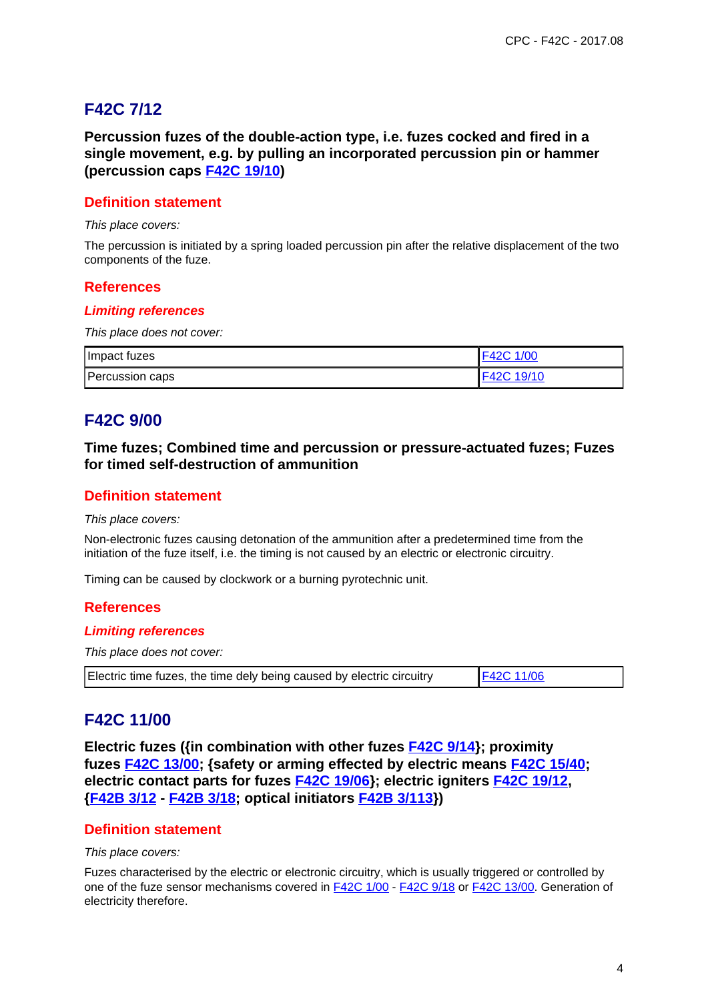# **F42C 7/12**

**Percussion fuzes of the double-action type, i.e. fuzes cocked and fired in a single movement, e.g. by pulling an incorporated percussion pin or hammer (percussion caps F42C 19/10)**

## **Definition statement**

#### This place covers:

The percussion is initiated by a spring loaded percussion pin after the relative displacement of the two components of the fuze.

#### **References**

#### **Limiting references**

This place does not cover:

| Impact fuzes    | F42C 1/00  |
|-----------------|------------|
| Percussion caps | F42C 19/10 |

# **F42C 9/00**

**Time fuzes; Combined time and percussion or pressure-actuated fuzes; Fuzes for timed self-destruction of ammunition**

## **Definition statement**

This place covers:

Non-electronic fuzes causing detonation of the ammunition after a predetermined time from the initiation of the fuze itself, i.e. the timing is not caused by an electric or electronic circuitry.

Timing can be caused by clockwork or a burning pyrotechnic unit.

#### **References**

#### **Limiting references**

This place does not cover:

| Electric time fuzes, the time dely being caused by electric circuitry | <b>F42C 11/06</b> |
|-----------------------------------------------------------------------|-------------------|
|-----------------------------------------------------------------------|-------------------|

## **F42C 11/00**

**Electric fuzes ({in combination with other fuzes F42C 9/14}; proximity fuzes F42C 13/00; {safety or arming effected by electric means F42C 15/40; electric contact parts for fuzes F42C 19/06}; electric igniters F42C 19/12, {F42B 3/12 - F42B 3/18; optical initiators F42B 3/113})**

## **Definition statement**

This place covers:

Fuzes characterised by the electric or electronic circuitry, which is usually triggered or controlled by one of the fuze sensor mechanisms covered in F42C 1/00 - F42C 9/18 or F42C 13/00. Generation of electricity therefore.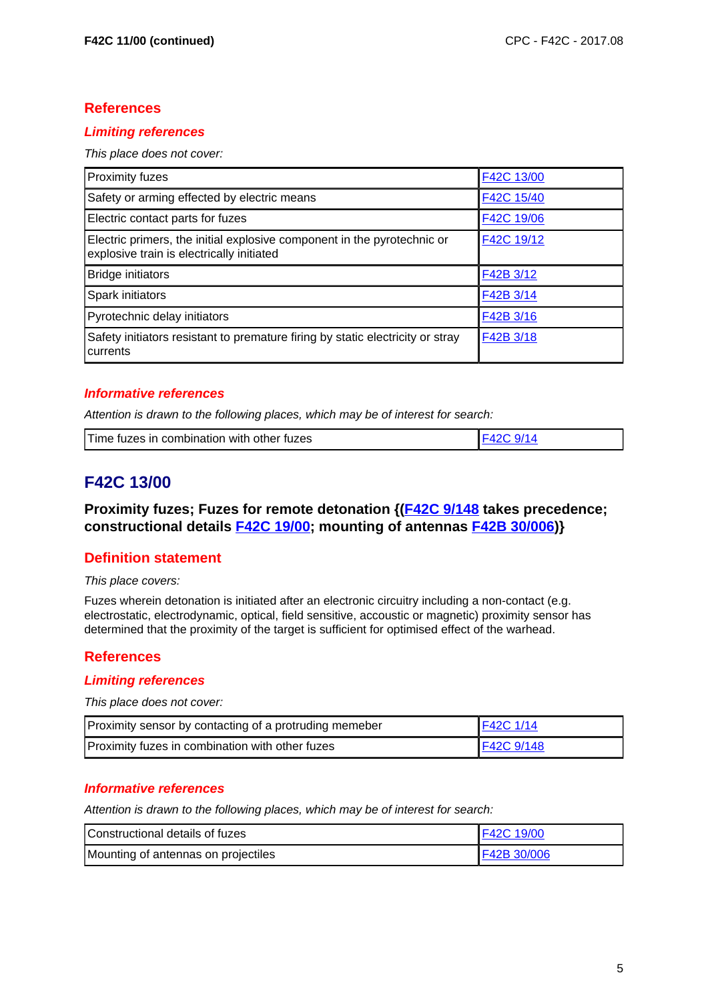## **References**

## **Limiting references**

This place does not cover:

| Proximity fuzes                                                                                                      | F42C 13/00 |
|----------------------------------------------------------------------------------------------------------------------|------------|
| Safety or arming effected by electric means                                                                          | F42C 15/40 |
| Electric contact parts for fuzes                                                                                     | F42C 19/06 |
| Electric primers, the initial explosive component in the pyrotechnic or<br>explosive train is electrically initiated | F42C 19/12 |
| <b>Bridge initiators</b>                                                                                             | F42B 3/12  |
| Spark initiators                                                                                                     | F42B 3/14  |
| Pyrotechnic delay initiators                                                                                         | F42B 3/16  |
| Safety initiators resistant to premature firing by static electricity or stray<br>currents                           | F42B 3/18  |

#### **Informative references**

Attention is drawn to the following places, which may be of interest for search:

| tuzes in combination with other fuzes !<br>1 ime |
|--------------------------------------------------|
|--------------------------------------------------|

# **F42C 13/00**

**Proximity fuzes; Fuzes for remote detonation {(F42C 9/148 takes precedence; constructional details F42C 19/00; mounting of antennas F42B 30/006)}**

## **Definition statement**

This place covers:

Fuzes wherein detonation is initiated after an electronic circuitry including a non-contact (e.g. electrostatic, electrodynamic, optical, field sensitive, accoustic or magnetic) proximity sensor has determined that the proximity of the target is sufficient for optimised effect of the warhead.

## **References**

## **Limiting references**

This place does not cover:

| Proximity sensor by contacting of a protruding memeber | $F42C$ 1/14        |
|--------------------------------------------------------|--------------------|
| Proximity fuzes in combination with other fuzes        | <b>IF42C 9/148</b> |

## **Informative references**

Attention is drawn to the following places, which may be of interest for search:

| lConstructional details of fuzes    | F42C 19/00   |
|-------------------------------------|--------------|
| Mounting of antennas on projectiles | IF42B 30/006 |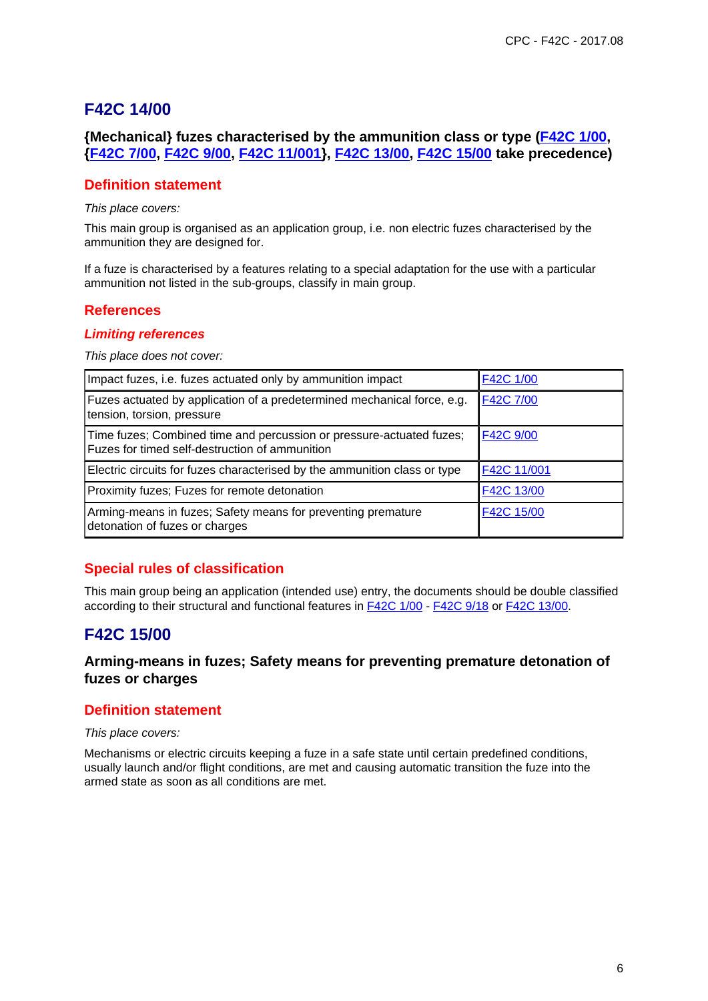## **F42C 14/00**

## **{Mechanical} fuzes characterised by the ammunition class or type (F42C 1/00, {F42C 7/00, F42C 9/00, F42C 11/001}, F42C 13/00, F42C 15/00 take precedence)**

## **Definition statement**

This place covers:

This main group is organised as an application group, i.e. non electric fuzes characterised by the ammunition they are designed for.

If a fuze is characterised by a features relating to a special adaptation for the use with a particular ammunition not listed in the sub-groups, classify in main group.

## **References**

#### **Limiting references**

This place does not cover:

| Impact fuzes, i.e. fuzes actuated only by ammunition impact                                                            | F42C 1/00   |
|------------------------------------------------------------------------------------------------------------------------|-------------|
| Fuzes actuated by application of a predetermined mechanical force, e.g.<br>tension, torsion, pressure                  | F42C 7/00   |
| Time fuzes; Combined time and percussion or pressure-actuated fuzes;<br>Fuzes for timed self-destruction of ammunition | F42C 9/00   |
| Electric circuits for fuzes characterised by the ammunition class or type                                              | F42C 11/001 |
| Proximity fuzes; Fuzes for remote detonation                                                                           | F42C 13/00  |
| Arming-means in fuzes; Safety means for preventing premature<br>detonation of fuzes or charges                         | F42C 15/00  |

## **Special rules of classification**

This main group being an application (intended use) entry, the documents should be double classified according to their structural and functional features in F42C 1/00 - F42C 9/18 or F42C 13/00.

# **F42C 15/00**

## **Arming-means in fuzes; Safety means for preventing premature detonation of fuzes or charges**

## **Definition statement**

This place covers:

Mechanisms or electric circuits keeping a fuze in a safe state until certain predefined conditions, usually launch and/or flight conditions, are met and causing automatic transition the fuze into the armed state as soon as all conditions are met.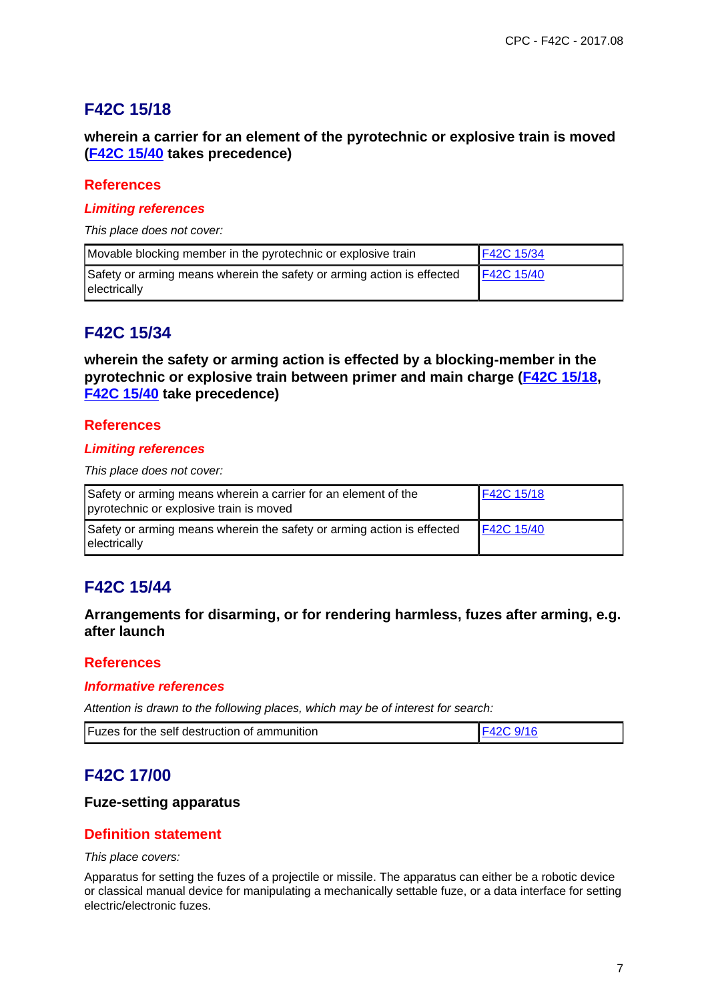# **F42C 15/18**

## **wherein a carrier for an element of the pyrotechnic or explosive train is moved (F42C 15/40 takes precedence)**

## **References**

#### **Limiting references**

This place does not cover:

| Movable blocking member in the pyrotechnic or explosive train                          | F42C 15/34 |
|----------------------------------------------------------------------------------------|------------|
| Safety or arming means wherein the safety or arming action is effected<br>electrically | F42C 15/40 |

## **F42C 15/34**

**wherein the safety or arming action is effected by a blocking-member in the pyrotechnic or explosive train between primer and main charge (F42C 15/18, F42C 15/40 take precedence)**

## **References**

## **Limiting references**

This place does not cover:

| Safety or arming means wherein a carrier for an element of the<br>pyrotechnic or explosive train is moved | F42C 15/18 |
|-----------------------------------------------------------------------------------------------------------|------------|
| Safety or arming means wherein the safety or arming action is effected<br>electrically                    | F42C 15/40 |

# **F42C 15/44**

## **Arrangements for disarming, or for rendering harmless, fuzes after arming, e.g. after launch**

## **References**

#### **Informative references**

Attention is drawn to the following places, which may be of interest for search:

| Fuzes for the self destruction of ammunition |  |
|----------------------------------------------|--|
|----------------------------------------------|--|

## **F42C 17/00**

## **Fuze-setting apparatus**

## **Definition statement**

#### This place covers:

Apparatus for setting the fuzes of a projectile or missile. The apparatus can either be a robotic device or classical manual device for manipulating a mechanically settable fuze, or a data interface for setting electric/electronic fuzes.